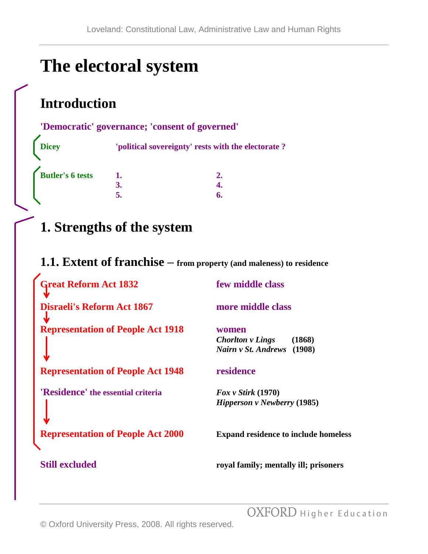# **The electoral system**

## **Introduction**

#### **'Democratic' governance; 'consent of governed'**

**Dicey 'political sovereignty' rests with the electorate ? Butler's 6 tests 1. 2. 3. 4. 5. 6.**

**1. Strengths of the system** 

#### **1.1. Extent of franchise – from property (and maleness) to residence**

| <b>Great Reform Act 1832</b>             | few middle class                                                            |
|------------------------------------------|-----------------------------------------------------------------------------|
| <b>Disraeli's Reform Act 1867</b>        | more middle class                                                           |
| <b>Representation of People Act 1918</b> | women<br><b>Chorlton v Lings</b><br>(1868)<br>Nairn v St. Andrews<br>(1908) |
| <b>Representation of People Act 1948</b> | residence                                                                   |
| 'Residence' the essential criteria       | $\text{Fox } v$ Stirk (1970)<br>Hipperson v Newberry (1985)                 |
| <b>Representation of People Act 2000</b> | <b>Expand residence to include homeless</b>                                 |
| <b>Still excluded</b>                    | royal family; mentally ill; prisoners                                       |

OXFORD Higher Education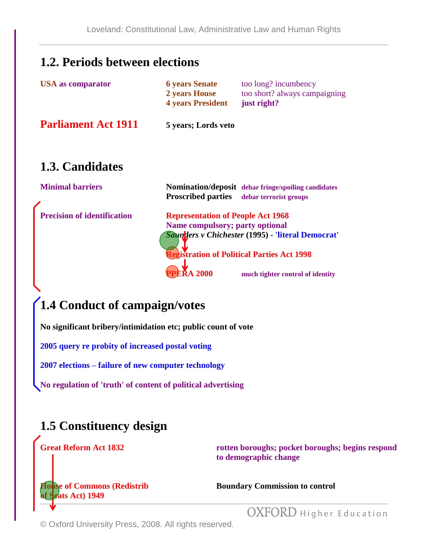#### **1.2. Periods between elections**

| too short? always campaigning<br>2 years House |  |
|------------------------------------------------|--|
| <b>4 years President</b><br>just right?        |  |

**Parliament Act 1911 5 years; Lords veto**

### **1.3. Candidates**

**Minimal barriers Momination/deposit** *debar fringe/spoiling candidates* **Proscribed parties debar terrorist groups Precision of identification Representation of People Act 1968 Name compulsory; party optional**  *Saunders v Chichester* **(1995) - 'literal Democrat' Registration of Political Parties Act 1998 PRA 2000 much tighter control of identity** 

### **1.4 Conduct of campaign/votes**

**No significant bribery/intimidation etc; public count of vote**

**2005 query re probity of increased postal voting**

**2007 elections – failure of new computer technology**

**No regulation of 'truth' of content of political advertising**

### **1.5 Constituency design**

**Great Reform Act 1832 rotten boroughs; pocket boroughs; begins respond to demographic change**

**of Seats Act) 1949**

**House of Commons (Redistrib Boundary Commission to control** 

OXFORD Higher Education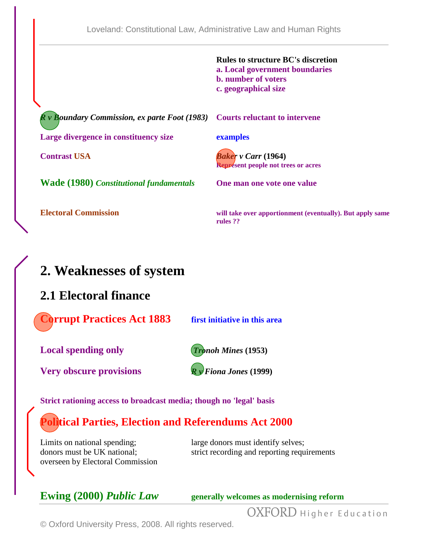|                                                                                 | <b>Rules to structure BC's discretion</b><br>a. Local government boundaries<br><b>b.</b> number of voters<br>c. geographical size |
|---------------------------------------------------------------------------------|-----------------------------------------------------------------------------------------------------------------------------------|
| $R \nu$ Boundary Commission, ex parte Foot (1983) Courts reluctant to intervene |                                                                                                                                   |
| Large divergence in constituency size                                           | examples                                                                                                                          |
| <b>Contrast USA</b>                                                             | <b>Baker</b> v Carr (1964)<br><b>Represent people not trees or acres</b>                                                          |
| <b>Wade (1980) Constitutional fundamentals</b>                                  | One man one vote one value                                                                                                        |
| <b>Electoral Commission</b>                                                     | will take over apportionment (eventually). But apply same<br>rules ??                                                             |

### **2. Weaknesses of system**

#### **2.1 Electoral finance**

**Corrupt Practices Act 1883 first initiative in this area**

**Local spending only** *Tronoh Mines* **(1953)**

**Very obscure provisions** *R v Fiona Jones* **(1999)**

**Strict rationing access to broadcast media; though no 'legal' basis**

### **Political Parties, Election and Referendums Act 2000**

Limits on national spending; large donors must identify selves; overseen by Electoral Commission

donors must be UK national; strict recording and reporting requirements

**Ewing (2000) Public Law generally welcomes as modernising reform** 

OXFORD Higher Education